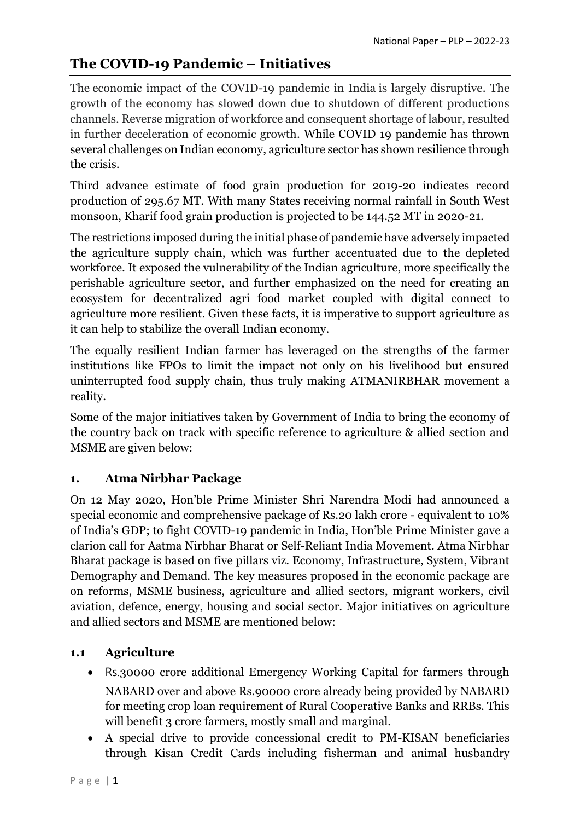# **The COVID-19 Pandemic – Initiatives**

The economic impact of the COVID-19 pandemic in India is largely disruptive. The growth of the economy has slowed down due to shutdown of different productions channels. Reverse migration of workforce and consequent shortage of labour, resulted in further deceleration of economic growth. While COVID 19 pandemic has thrown several challenges on Indian economy, agriculture sector has shown resilience through the crisis.

Third advance estimate of food grain production for 2019-20 indicates record production of 295.67 MT. With many States receiving normal rainfall in South West monsoon, Kharif food grain production is projected to be 144.52 MT in 2020-21.

The restrictions imposed during the initial phase of pandemic have adversely impacted the agriculture supply chain, which was further accentuated due to the depleted workforce. It exposed the vulnerability of the Indian agriculture, more specifically the perishable agriculture sector, and further emphasized on the need for creating an ecosystem for decentralized agri food market coupled with digital connect to agriculture more resilient. Given these facts, it is imperative to support agriculture as it can help to stabilize the overall Indian economy.

The equally resilient Indian farmer has leveraged on the strengths of the farmer institutions like FPOs to limit the impact not only on his livelihood but ensured uninterrupted food supply chain, thus truly making ATMANIRBHAR movement a reality.

Some of the major initiatives taken by Government of India to bring the economy of the country back on track with specific reference to agriculture & allied section and MSME are given below:

## **1. Atma Nirbhar Package**

On 12 May 2020, Hon'ble Prime Minister Shri Narendra Modi had announced a special economic and comprehensive package of Rs.20 lakh crore - equivalent to 10% of India's GDP; to fight COVID-19 pandemic in India, Hon'ble Prime Minister gave a clarion call for Aatma Nirbhar Bharat or Self-Reliant India Movement. Atma Nirbhar Bharat package is based on five pillars viz. Economy, Infrastructure, System, Vibrant Demography and Demand. The key measures proposed in the economic package are on reforms, MSME business, agriculture and allied sectors, migrant workers, civil aviation, defence, energy, housing and social sector. Major initiatives on agriculture and allied sectors and MSME are mentioned below:

## **1.1 Agriculture**

- Rs.30000 crore additional Emergency Working Capital for farmers through NABARD over and above Rs.90000 crore already being provided by NABARD for meeting crop loan requirement of Rural Cooperative Banks and RRBs. This will benefit 3 crore farmers, mostly small and marginal.
- A special drive to provide concessional credit to PM-KISAN beneficiaries through Kisan Credit Cards including fisherman and animal husbandry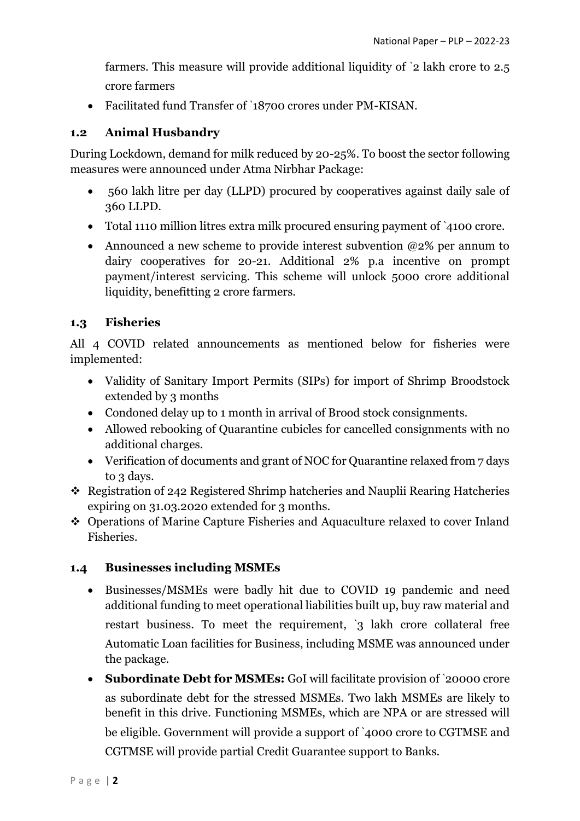farmers. This measure will provide additional liquidity of `2 lakh crore to 2.5 crore farmers

Facilitated fund Transfer of `18700 crores under PM-KISAN.

## **1.2 Animal Husbandry**

During Lockdown, demand for milk reduced by 20-25%. To boost the sector following measures were announced under Atma Nirbhar Package:

- 560 lakh litre per day (LLPD) procured by cooperatives against daily sale of 360 LLPD.
- Total 1110 million litres extra milk procured ensuring payment of `4100 crore.
- Announced a new scheme to provide interest subvention  $@2\%$  per annum to dairy cooperatives for 20-21. Additional 2% p.a incentive on prompt payment/interest servicing. This scheme will unlock 5000 crore additional liquidity, benefitting 2 crore farmers.

## **1.3 Fisheries**

All 4 COVID related announcements as mentioned below for fisheries were implemented:

- Validity of Sanitary Import Permits (SIPs) for import of Shrimp Broodstock extended by 3 months
- Condoned delay up to 1 month in arrival of Brood stock consignments.
- Allowed rebooking of Quarantine cubicles for cancelled consignments with no additional charges.
- Verification of documents and grant of NOC for Quarantine relaxed from 7 days to 3 days.
- Registration of 242 Registered Shrimp hatcheries and Nauplii Rearing Hatcheries expiring on 31.03.2020 extended for 3 months.
- Operations of Marine Capture Fisheries and Aquaculture relaxed to cover Inland Fisheries.

## **1.4 Businesses including MSMEs**

- Businesses/MSMEs were badly hit due to COVID 19 pandemic and need additional funding to meet operational liabilities built up, buy raw material and restart business. To meet the requirement, '3 lakh crore collateral free Automatic Loan facilities for Business, including MSME was announced under the package.
- **Subordinate Debt for MSMEs:** GoI will facilitate provision of `20000 crore as subordinate debt for the stressed MSMEs. Two lakh MSMEs are likely to benefit in this drive. Functioning MSMEs, which are NPA or are stressed will be eligible. Government will provide a support of `4000 crore to CGTMSE and CGTMSE will provide partial Credit Guarantee support to Banks.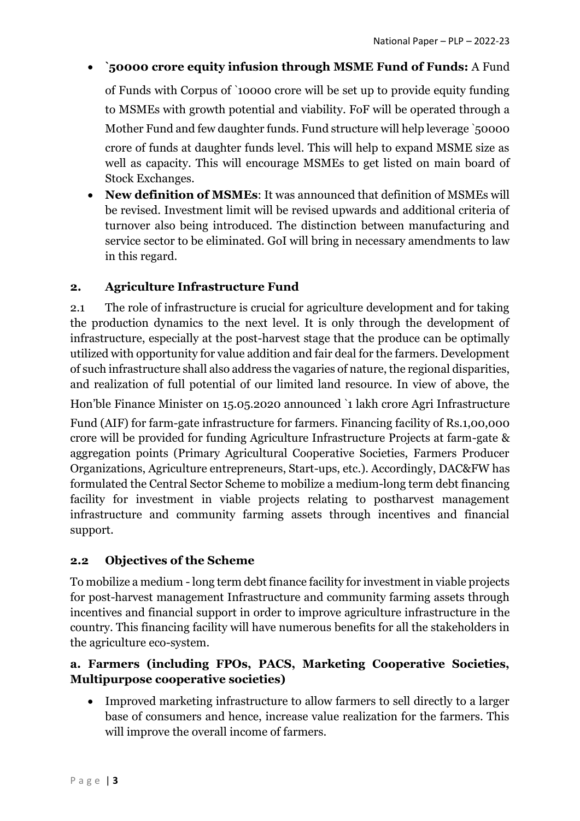## **`50000 crore equity infusion through MSME Fund of Funds:** A Fund

of Funds with Corpus of `10000 crore will be set up to provide equity funding to MSMEs with growth potential and viability. FoF will be operated through a Mother Fund and few daughter funds. Fund structure will help leverage `50000 crore of funds at daughter funds level. This will help to expand MSME size as well as capacity. This will encourage MSMEs to get listed on main board of Stock Exchanges.

 **New definition of MSMEs**: It was announced that definition of MSMEs will be revised. Investment limit will be revised upwards and additional criteria of turnover also being introduced. The distinction between manufacturing and service sector to be eliminated. GoI will bring in necessary amendments to law in this regard.

## **2. Agriculture Infrastructure Fund**

2.1 The role of infrastructure is crucial for agriculture development and for taking the production dynamics to the next level. It is only through the development of infrastructure, especially at the post-harvest stage that the produce can be optimally utilized with opportunity for value addition and fair deal for the farmers. Development of such infrastructure shall also address the vagaries of nature, the regional disparities, and realization of full potential of our limited land resource. In view of above, the

Hon'ble Finance Minister on 15.05.2020 announced `1 lakh crore Agri Infrastructure

Fund (AIF) for farm-gate infrastructure for farmers. Financing facility of Rs.1,00,000 crore will be provided for funding Agriculture Infrastructure Projects at farm-gate & aggregation points (Primary Agricultural Cooperative Societies, Farmers Producer Organizations, Agriculture entrepreneurs, Start-ups, etc.). Accordingly, DAC&FW has formulated the Central Sector Scheme to mobilize a medium-long term debt financing facility for investment in viable projects relating to postharvest management infrastructure and community farming assets through incentives and financial support.

## **2.2 Objectives of the Scheme**

To mobilize a medium -long term debt finance facility for investment in viable projects for post-harvest management Infrastructure and community farming assets through incentives and financial support in order to improve agriculture infrastructure in the country. This financing facility will have numerous benefits for all the stakeholders in the agriculture eco-system.

## **a. Farmers (including FPOs, PACS, Marketing Cooperative Societies, Multipurpose cooperative societies)**

 Improved marketing infrastructure to allow farmers to sell directly to a larger base of consumers and hence, increase value realization for the farmers. This will improve the overall income of farmers.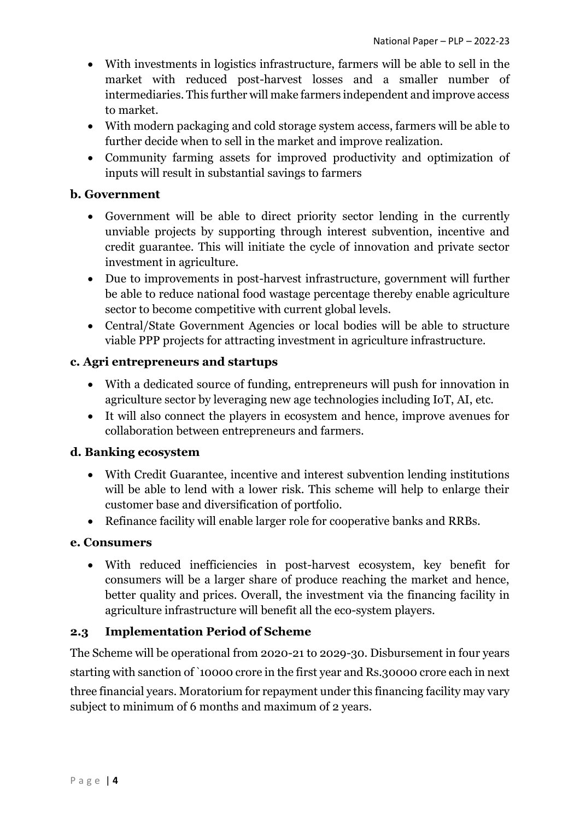- With investments in logistics infrastructure, farmers will be able to sell in the market with reduced post-harvest losses and a smaller number of intermediaries. This further will make farmers independent and improve access to market.
- With modern packaging and cold storage system access, farmers will be able to further decide when to sell in the market and improve realization.
- Community farming assets for improved productivity and optimization of inputs will result in substantial savings to farmers

### **b. Government**

- Government will be able to direct priority sector lending in the currently unviable projects by supporting through interest subvention, incentive and credit guarantee. This will initiate the cycle of innovation and private sector investment in agriculture.
- Due to improvements in post-harvest infrastructure, government will further be able to reduce national food wastage percentage thereby enable agriculture sector to become competitive with current global levels.
- Central/State Government Agencies or local bodies will be able to structure viable PPP projects for attracting investment in agriculture infrastructure.

## **c. Agri entrepreneurs and startups**

- With a dedicated source of funding, entrepreneurs will push for innovation in agriculture sector by leveraging new age technologies including IoT, AI, etc.
- It will also connect the players in ecosystem and hence, improve avenues for collaboration between entrepreneurs and farmers.

#### **d. Banking ecosystem**

- With Credit Guarantee, incentive and interest subvention lending institutions will be able to lend with a lower risk. This scheme will help to enlarge their customer base and diversification of portfolio.
- Refinance facility will enable larger role for cooperative banks and RRBs.

#### **e. Consumers**

 With reduced inefficiencies in post-harvest ecosystem, key benefit for consumers will be a larger share of produce reaching the market and hence, better quality and prices. Overall, the investment via the financing facility in agriculture infrastructure will benefit all the eco-system players.

#### **2.3 Implementation Period of Scheme**

The Scheme will be operational from 2020-21 to 2029-30. Disbursement in four years starting with sanction of `10000 crore in the first year and Rs.30000 crore each in next three financial years. Moratorium for repayment under this financing facility may vary subject to minimum of 6 months and maximum of 2 years.